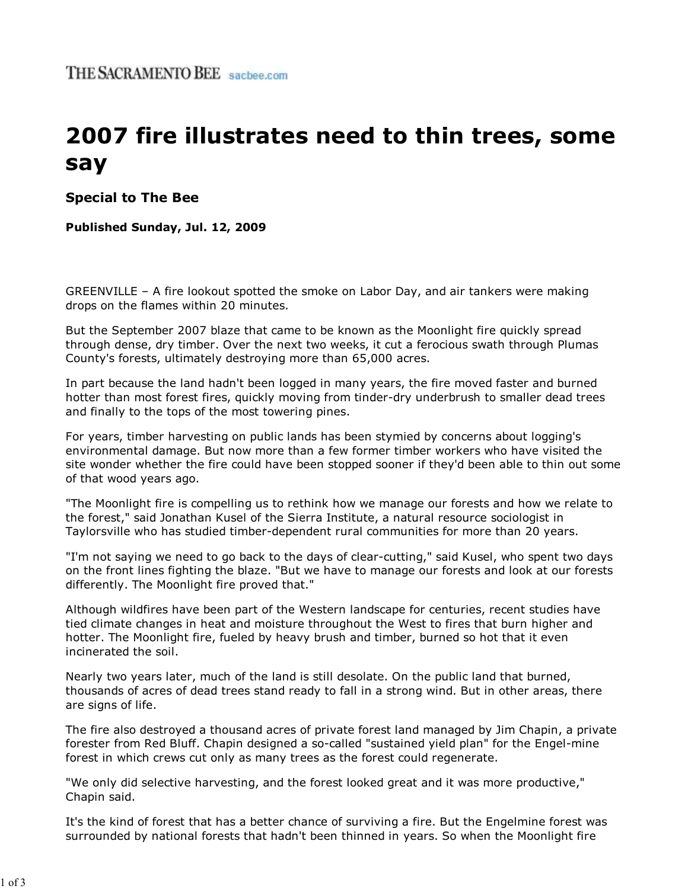# **2007 fire illustrates need to thin trees, some say**

**Special to The Bee**

## **Published Sunday, Jul. 12, 2009**

GREENVILLE – A fire lookout spotted the smoke on Labor Day, and air tankers were making drops on the flames within 20 minutes.

But the September 2007 blaze that came to be known as the Moonlight fire quickly spread through dense, dry timber. Over the next two weeks, it cut a ferocious swath through Plumas County's forests, ultimately destroying more than 65,000 acres.

In part because the land hadn't been logged in many years, the fire moved faster and burned hotter than most forest fires, quickly moving from tinder-dry underbrush to smaller dead trees and finally to the tops of the most towering pines.

For years, timber harvesting on public lands has been stymied by concerns about logging's environmental damage. But now more than a few former timber workers who have visited the site wonder whether the fire could have been stopped sooner if they'd been able to thin out some of that wood years ago.

"The Moonlight fire is compelling us to rethink how we manage our forests and how we relate to the forest," said Jonathan Kusel of the Sierra Institute, a natural resource sociologist in Taylorsville who has studied timber-dependent rural communities for more than 20 years.

"I'm not saying we need to go back to the days of clear-cutting," said Kusel, who spent two days on the front lines fighting the blaze. "But we have to manage our forests and look at our forests differently. The Moonlight fire proved that."

Although wildfires have been part of the Western landscape for centuries, recent studies have tied climate changes in heat and moisture throughout the West to fires that burn higher and hotter. The Moonlight fire, fueled by heavy brush and timber, burned so hot that it even incinerated the soil.

Nearly two years later, much of the land is still desolate. On the public land that burned, thousands of acres of dead trees stand ready to fall in a strong wind. But in other areas, there are signs of life.

The fire also destroyed a thousand acres of private forest land managed by Jim Chapin, a private forester from Red Bluff. Chapin designed a so-called "sustained yield plan" for the Engel-mine forest in which crews cut only as many trees as the forest could regenerate.

"We only did selective harvesting, and the forest looked great and it was more productive," Chapin said.

It's the kind of forest that has a better chance of surviving a fire. But the Engelmine forest was surrounded by national forests that hadn't been thinned in years. So when the Moonlight fire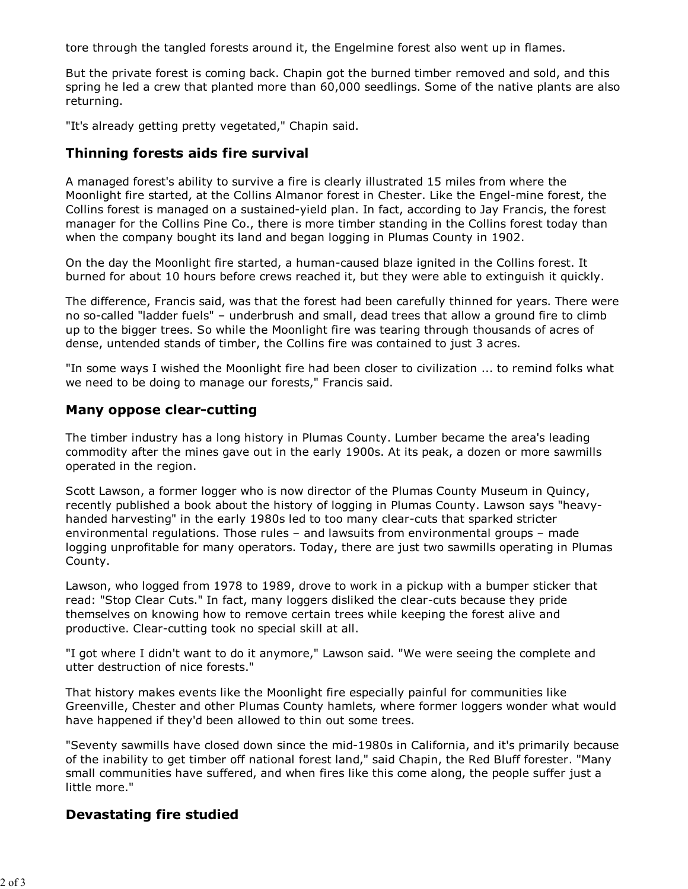tore through the tangled forests around it, the Engelmine forest also went up in flames.

But the private forest is coming back. Chapin got the burned timber removed and sold, and this spring he led a crew that planted more than 60,000 seedlings. Some of the native plants are also returning.

"It's already getting pretty vegetated," Chapin said.

## **Thinning forests aids fire survival**

A managed forest's ability to survive a fire is clearly illustrated 15 miles from where the Moonlight fire started, at the Collins Almanor forest in Chester. Like the Engel-mine forest, the Collins forest is managed on a sustained-yield plan. In fact, according to Jay Francis, the forest manager for the Collins Pine Co., there is more timber standing in the Collins forest today than when the company bought its land and began logging in Plumas County in 1902.

On the day the Moonlight fire started, a human-caused blaze ignited in the Collins forest. It burned for about 10 hours before crews reached it, but they were able to extinguish it quickly.

The difference, Francis said, was that the forest had been carefully thinned for years. There were no so-called "ladder fuels" – underbrush and small, dead trees that allow a ground fire to climb up to the bigger trees. So while the Moonlight fire was tearing through thousands of acres of dense, untended stands of timber, the Collins fire was contained to just 3 acres.

"In some ways I wished the Moonlight fire had been closer to civilization ... to remind folks what we need to be doing to manage our forests," Francis said.

#### **Many oppose clear-cutting**

The timber industry has a long history in Plumas County. Lumber became the area's leading commodity after the mines gave out in the early 1900s. At its peak, a dozen or more sawmills operated in the region.

Scott Lawson, a former logger who is now director of the Plumas County Museum in Quincy, recently published a book about the history of logging in Plumas County. Lawson says "heavyhanded harvesting" in the early 1980s led to too many clear-cuts that sparked stricter environmental regulations. Those rules – and lawsuits from environmental groups – made logging unprofitable for many operators. Today, there are just two sawmills operating in Plumas County.

Lawson, who logged from 1978 to 1989, drove to work in a pickup with a bumper sticker that read: "Stop Clear Cuts." In fact, many loggers disliked the clear-cuts because they pride themselves on knowing how to remove certain trees while keeping the forest alive and productive. Clear-cutting took no special skill at all.

"I got where I didn't want to do it anymore," Lawson said. "We were seeing the complete and utter destruction of nice forests."

That history makes events like the Moonlight fire especially painful for communities like Greenville, Chester and other Plumas County hamlets, where former loggers wonder what would have happened if they'd been allowed to thin out some trees.

"Seventy sawmills have closed down since the mid-1980s in California, and it's primarily because of the inability to get timber off national forest land," said Chapin, the Red Bluff forester. "Many small communities have suffered, and when fires like this come along, the people suffer just a little more."

## **Devastating fire studied**